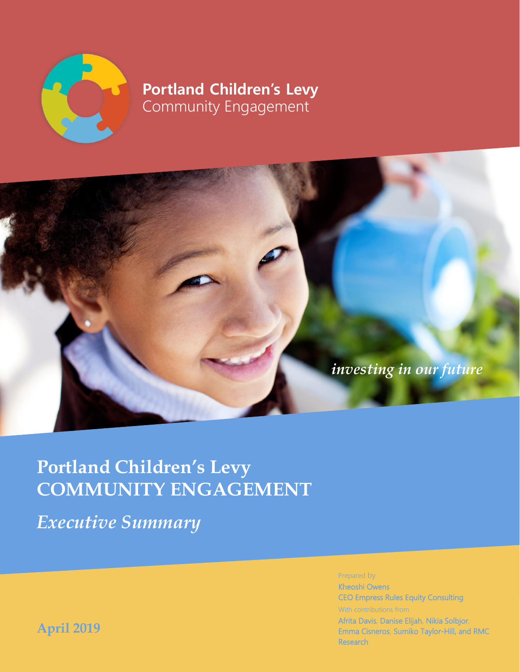

## **Portland Children's Levy** Community Engagement



# **Portland Children's Levy COMMUNITY ENGAGEMENT**

*Executive Summary*

Prepared by

Community Engagement Evaluation **i** Emma Cisneros, Sumiko Taylor-Hill, and RMC Kheoshi Owens CEO Empress Rules Equity Consulting With contributions from Afrita Davis, Danise Elijah, Nikia Solbjor, Research

**April 2019**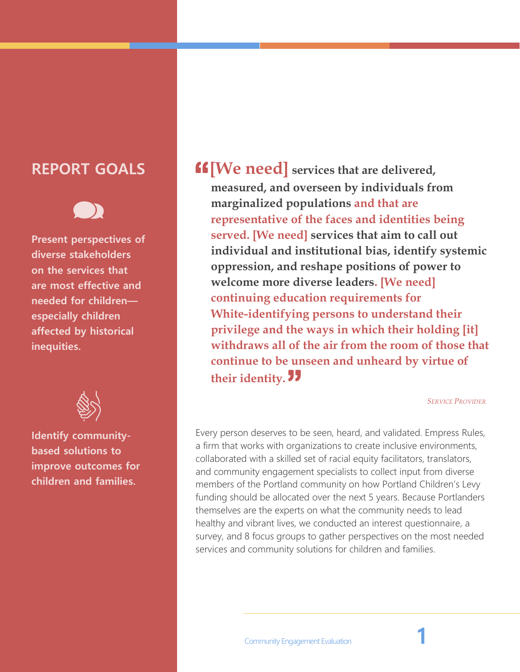## **REPORT GOALS**



**Present perspectives of diverse stakeholders on the services that are most effective and needed for children especially children affected by historical inequities.**



**Identify communitybased solutions to improve outcomes for children and families.**

**[We need] services that are delivered, measured, and overseen by individuals from marginalized populations and that are representative of the faces and identities being served. [We need] services that aim to call out individual and institutional bias, identify systemic oppression, and reshape positions of power to welcome more diverse leaders. [We need] continuing education requirements for White-identifying persons to understand their privilege and the ways in which their holding [it] withdraws all of the air from the room of those that continue to be unseen and unheard by virtue of their identity.**

*SERVICE PROVIDER*

Every person deserves to be seen, heard, and validated. Empress Rules, a firm that works with organizations to create inclusive environments, collaborated with a skilled set of racial equity facilitators, translators, and community engagement specialists to collect input from diverse members of the Portland community on how Portland Children's Levy funding should be allocated over the next 5 years. Because Portlanders themselves are the experts on what the community needs to lead healthy and vibrant lives, we conducted an interest questionnaire, a survey, and 8 focus groups to gather perspectives on the most needed services and community solutions for children and families.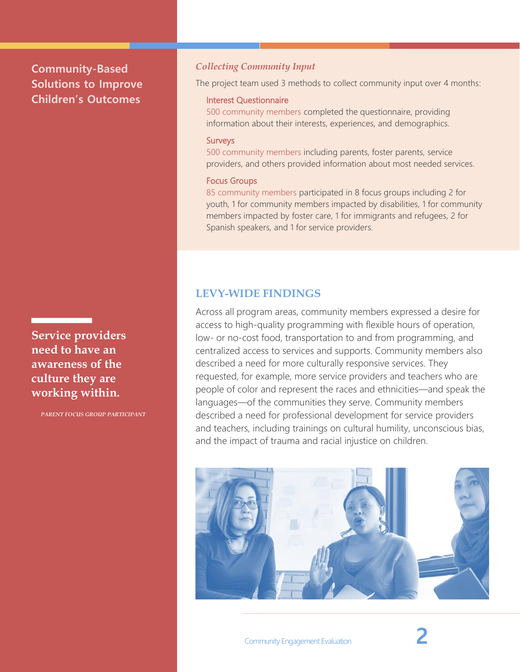## **Community-Based Solutions to Improve Children's Outcomes**

**Service providers need to have an awareness of the culture they are working within.**

*PARENT FOCUS GROUP PARTICIPANT*

#### *Collecting Community Input*

The project team used 3 methods to collect community input over 4 months:

#### Interest Questionnaire

500 community members completed the questionnaire, providing information about their interests, experiences, and demographics.

#### Surveys

500 community members including parents, foster parents, service providers, and others provided information about most needed services.

#### Focus Groups

85 community members participated in 8 focus groups including 2 for youth, 1 for community members impacted by disabilities, 1 for community members impacted by foster care, 1 for immigrants and refugees, 2 for Spanish speakers, and 1 for service providers.

#### **LEVY-WIDE FINDINGS**

Across all program areas, community members expressed a desire for access to high-quality programming with flexible hours of operation, low- or no-cost food, transportation to and from programming, and centralized access to services and supports. Community members also described a need for more culturally responsive services. They requested, for example, more service providers and teachers who are people of color and represent the races and ethnicities—and speak the languages—of the communities they serve. Community members described a need for professional development for service providers and teachers, including trainings on cultural humility, unconscious bias, and the impact of trauma and racial injustice on children.

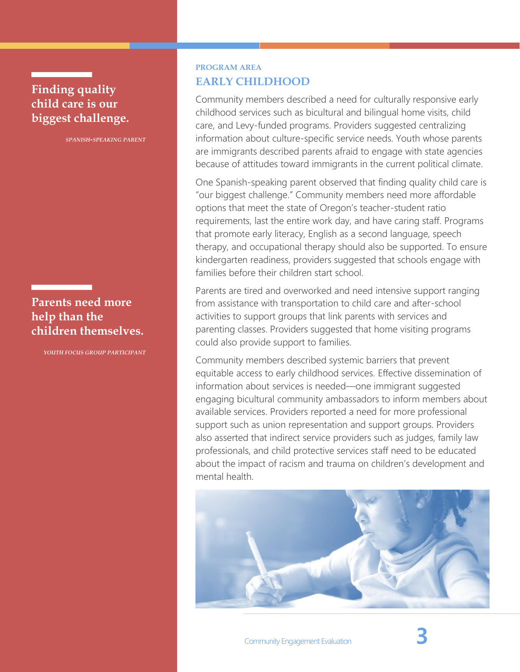## **Finding quality child care is our biggest challenge.**

*SPANISH-SPEAKING PARENT*

## **Parents need more help than the children themselves.**

*YOUTH FOCUS GROUP PARTICIPANT*

### **PROGRAM AREA EARLY CHILDHOOD**

Community members described a need for culturally responsive early childhood services such as bicultural and bilingual home visits, child care, and Levy-funded programs. Providers suggested centralizing information about culture-specific service needs. Youth whose parents are immigrants described parents afraid to engage with state agencies because of attitudes toward immigrants in the current political climate.

One Spanish-speaking parent observed that finding quality child care is "our biggest challenge." Community members need more affordable options that meet the state of Oregon's teacher-student ratio requirements, last the entire work day, and have caring staff. Programs that promote early literacy, English as a second language, speech therapy, and occupational therapy should also be supported. To ensure kindergarten readiness, providers suggested that schools engage with families before their children start school.

Parents are tired and overworked and need intensive support ranging from assistance with transportation to child care and after-school activities to support groups that link parents with services and parenting classes. Providers suggested that home visiting programs could also provide support to families.

Community members described systemic barriers that prevent equitable access to early childhood services. Effective dissemination of information about services is needed—one immigrant suggested engaging bicultural community ambassadors to inform members about available services. Providers reported a need for more professional support such as union representation and support groups. Providers also asserted that indirect service providers such as judges, family law professionals, and child protective services staff need to be educated about the impact of racism and trauma on children's development and mental health.



Community Engagement Evaluation **3**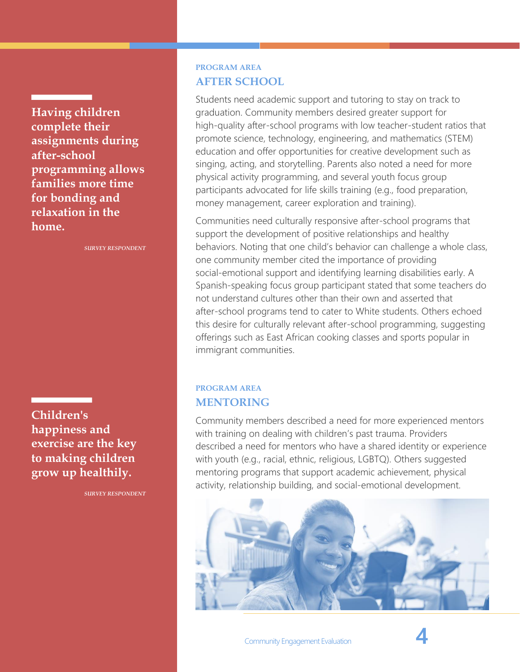**Having children complete their assignments during after-school programming allows families more time for bonding and relaxation in the home.**

*SURVEY RESPONDENT*

**Children's happiness and exercise are the key to making children grow up healthily.**

*SURVEY RESPONDENT*

## **PROGRAM AREA AFTER SCHOOL**

Students need academic support and tutoring to stay on track to graduation. Community members desired greater support for high-quality after-school programs with low teacher-student ratios that promote science, technology, engineering, and mathematics (STEM) education and offer opportunities for creative development such as singing, acting, and storytelling. Parents also noted a need for more physical activity programming, and several youth focus group participants advocated for life skills training (e.g., food preparation, money management, career exploration and training).

Communities need culturally responsive after-school programs that support the development of positive relationships and healthy behaviors. Noting that one child's behavior can challenge a whole class, one community member cited the importance of providing social-emotional support and identifying learning disabilities early. A Spanish-speaking focus group participant stated that some teachers do not understand cultures other than their own and asserted that after-school programs tend to cater to White students. Others echoed this desire for culturally relevant after-school programming, suggesting offerings such as East African cooking classes and sports popular in immigrant communities.

#### **PROGRAM AREA MENTORING**

Community members described a need for more experienced mentors with training on dealing with children's past trauma. Providers described a need for mentors who have a shared identity or experience with youth (e.g., racial, ethnic, religious, LGBTQ). Others suggested mentoring programs that support academic achievement, physical activity, relationship building, and social-emotional development.

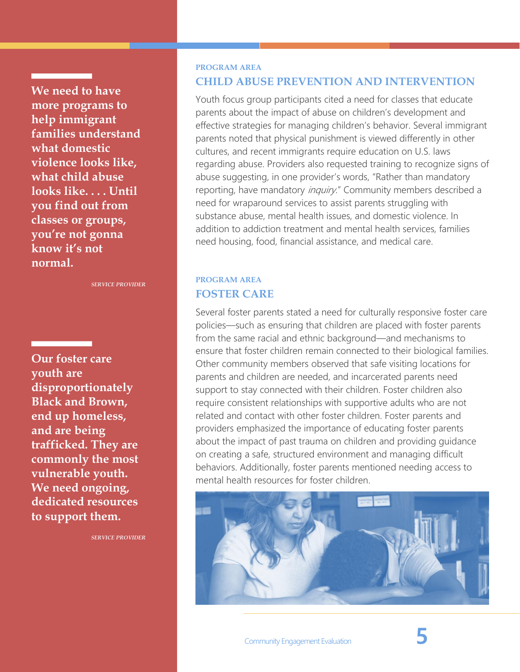**We need to have more programs to help immigrant families understand what domestic violence looks like, what child abuse looks like. . . . Until you find out from classes or groups, you're not gonna know it's not normal.**

*SERVICE PROVIDER*

**Our foster care youth are disproportionately Black and Brown, end up homeless, and are being trafficked. They are commonly the most vulnerable youth. We need ongoing, dedicated resources to support them.**

*SERVICE PROVIDER*

#### **PROGRAM AREA**

#### **CHILD ABUSE PREVENTION AND INTERVENTION**

Youth focus group participants cited a need for classes that educate parents about the impact of abuse on children's development and effective strategies for managing children's behavior. Several immigrant parents noted that physical punishment is viewed differently in other cultures, and recent immigrants require education on U.S. laws regarding abuse. Providers also requested training to recognize signs of abuse suggesting, in one provider's words, "Rather than mandatory reporting, have mandatory *inquiry*." Community members described a need for wraparound services to assist parents struggling with substance abuse, mental health issues, and domestic violence. In addition to addiction treatment and mental health services, families need housing, food, financial assistance, and medical care.

### **PROGRAM AREA FOSTER CARE**

Several foster parents stated a need for culturally responsive foster care policies—such as ensuring that children are placed with foster parents from the same racial and ethnic background—and mechanisms to ensure that foster children remain connected to their biological families. Other community members observed that safe visiting locations for parents and children are needed, and incarcerated parents need support to stay connected with their children. Foster children also require consistent relationships with supportive adults who are not related and contact with other foster children. Foster parents and providers emphasized the importance of educating foster parents about the impact of past trauma on children and providing guidance on creating a safe, structured environment and managing difficult behaviors. Additionally, foster parents mentioned needing access to mental health resources for foster children.